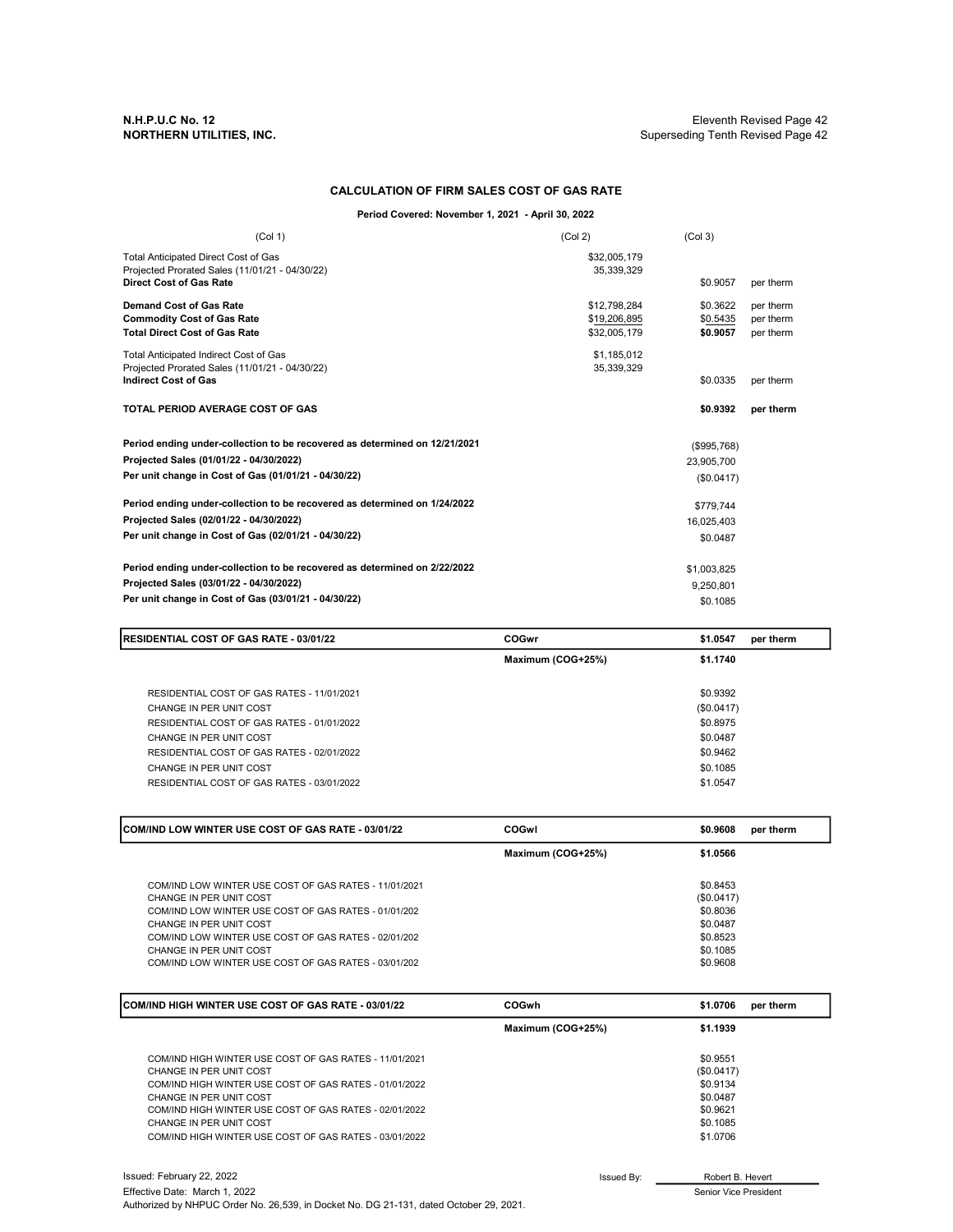# CALCULATION OF FIRM SALES COST OF GAS RATE

# Period Covered: November 1, 2021 - April 30, 2022

| (Col 1)                                                                                                                                                                       | (Col 2)                                      | (Col <sub>3</sub> )                     |                                     |
|-------------------------------------------------------------------------------------------------------------------------------------------------------------------------------|----------------------------------------------|-----------------------------------------|-------------------------------------|
| Total Anticipated Direct Cost of Gas<br>Projected Prorated Sales (11/01/21 - 04/30/22)<br><b>Direct Cost of Gas Rate</b>                                                      | \$32,005,179<br>35.339.329                   | \$0.9057                                | per therm                           |
| Demand Cost of Gas Rate<br><b>Commodity Cost of Gas Rate</b><br><b>Total Direct Cost of Gas Rate</b>                                                                          | \$12,798,284<br>\$19,206,895<br>\$32,005,179 | \$0.3622<br>\$0.5435<br>\$0.9057        | per therm<br>per therm<br>per therm |
| Total Anticipated Indirect Cost of Gas<br>Projected Prorated Sales (11/01/21 - 04/30/22)<br><b>Indirect Cost of Gas</b>                                                       | \$1,185,012<br>35,339,329                    | \$0.0335                                | per therm                           |
| TOTAL PERIOD AVERAGE COST OF GAS                                                                                                                                              |                                              | \$0.9392                                | per therm                           |
| Period ending under-collection to be recovered as determined on 12/21/2021<br>Projected Sales (01/01/22 - 04/30/2022)<br>Per unit change in Cost of Gas (01/01/21 - 04/30/22) |                                              | (\$995,768)<br>23,905,700<br>(\$0.0417) |                                     |
| Period ending under-collection to be recovered as determined on 1/24/2022<br>Projected Sales (02/01/22 - 04/30/2022)<br>Per unit change in Cost of Gas (02/01/21 - 04/30/22)  |                                              | \$779,744<br>16,025,403<br>\$0.0487     |                                     |
| Period ending under-collection to be recovered as determined on 2/22/2022<br>Projected Sales (03/01/22 - 04/30/2022)<br>Per unit change in Cost of Gas (03/01/21 - 04/30/22)  |                                              | \$1,003,825<br>9,250,801<br>\$0.1085    |                                     |

| <b>IRESIDENTIAL COST OF GAS RATE - 03/01/22</b> | <b>COGwr</b>      | \$1.0547<br>per therm |
|-------------------------------------------------|-------------------|-----------------------|
|                                                 | Maximum (COG+25%) | \$1.1740              |
| RESIDENTIAL COST OF GAS RATES - 11/01/2021      |                   | \$0.9392              |
| CHANGE IN PER UNIT COST                         |                   | (\$0.0417)            |
| RESIDENTIAL COST OF GAS RATES - 01/01/2022      |                   | \$0.8975              |
| CHANGE IN PER UNIT COST                         |                   | \$0.0487              |
| RESIDENTIAL COST OF GAS RATES - 02/01/2022      |                   | \$0.9462              |
| CHANGE IN PER UNIT COST                         |                   | \$0.1085              |
| RESIDENTIAL COST OF GAS RATES - 03/01/2022      |                   | \$1.0547              |
|                                                 |                   |                       |

| ICOM/IND LOW WINTER USE COST OF GAS RATE - 03/01/22   | COGwl             | \$0,9608   | per therm |
|-------------------------------------------------------|-------------------|------------|-----------|
|                                                       | Maximum (COG+25%) | \$1.0566   |           |
| COM/IND LOW WINTER USE COST OF GAS RATES - 11/01/2021 |                   | \$0.8453   |           |
| CHANGE IN PER UNIT COST                               |                   | (\$0.0417) |           |
| COM/IND LOW WINTER USE COST OF GAS RATES - 01/01/202  |                   | \$0.8036   |           |
| CHANGE IN PER UNIT COST                               |                   | \$0.0487   |           |
| COM/IND LOW WINTER USE COST OF GAS RATES - 02/01/202  |                   | \$0.8523   |           |
| CHANGE IN PER UNIT COST                               |                   | \$0,1085   |           |
| COM/IND LOW WINTER USE COST OF GAS RATES - 03/01/202  |                   | \$0.9608   |           |

| ICOM/IND HIGH WINTER USE COST OF GAS RATE - 03/01/22   | COGwh             | \$1,0706<br>per therm |
|--------------------------------------------------------|-------------------|-----------------------|
|                                                        | Maximum (COG+25%) | \$1.1939              |
|                                                        |                   |                       |
| COM/IND HIGH WINTER USE COST OF GAS RATES - 11/01/2021 |                   | \$0.9551              |
| CHANGE IN PER UNIT COST                                |                   | (\$0.0417)            |
| COM/IND HIGH WINTER USE COST OF GAS RATES - 01/01/2022 |                   | \$0.9134              |
| CHANGE IN PER UNIT COST                                |                   | \$0.0487              |
| COM/IND HIGH WINTER USE COST OF GAS RATES - 02/01/2022 |                   | \$0.9621              |
| CHANGE IN PER UNIT COST                                |                   | \$0.1085              |
| COM/IND HIGH WINTER USE COST OF GAS RATES - 03/01/2022 |                   | \$1,0706              |
|                                                        |                   |                       |

Senior Vice President Robert B. Hevert